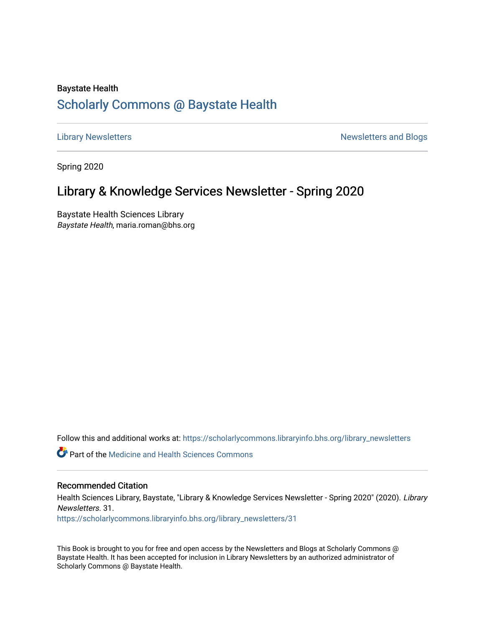# Baystate Health [Scholarly Commons @ Baystate Health](https://scholarlycommons.libraryinfo.bhs.org/)

[Library Newsletters](https://scholarlycommons.libraryinfo.bhs.org/library_newsletters) **Newsletters** and Blogs

Spring 2020

# Library & Knowledge Services Newsletter - Spring 2020

Baystate Health Sciences Library Baystate Health, maria.roman@bhs.org

Follow this and additional works at: [https://scholarlycommons.libraryinfo.bhs.org/library\\_newsletters](https://scholarlycommons.libraryinfo.bhs.org/library_newsletters?utm_source=scholarlycommons.libraryinfo.bhs.org%2Flibrary_newsletters%2F31&utm_medium=PDF&utm_campaign=PDFCoverPages) 

**C** Part of the Medicine and Health Sciences Commons

# Recommended Citation

Health Sciences Library, Baystate, "Library & Knowledge Services Newsletter - Spring 2020" (2020). Library Newsletters. 31.

[https://scholarlycommons.libraryinfo.bhs.org/library\\_newsletters/31](https://scholarlycommons.libraryinfo.bhs.org/library_newsletters/31?utm_source=scholarlycommons.libraryinfo.bhs.org%2Flibrary_newsletters%2F31&utm_medium=PDF&utm_campaign=PDFCoverPages)

This Book is brought to you for free and open access by the Newsletters and Blogs at Scholarly Commons @ Baystate Health. It has been accepted for inclusion in Library Newsletters by an authorized administrator of Scholarly Commons @ Baystate Health.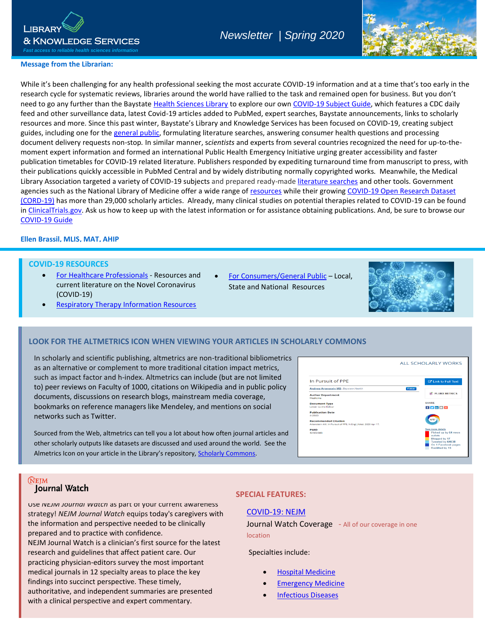

# *Newsletter | Spring 2020*



# **Message from the Librarian:**

agencies such as the National Library of Medicine offer a wide range of <u>resources</u> while their growing COVID-19 Open Research Dataset While it's been challenging for any health professional seeking the most accurate COVID-19 information and at a time that's too early in the while it sucen challenging for any health professional seeking the most acturate COVID-19 imormation and at a time that s too early in<br>research cycle for systematic reviews, libraries around the world have rallied to the t need to go any further than the Baystate [Health Sciences Library](http://libraryinfo.bhs.org/home) to explore our own [COVID-19 Subject Guide,](http://libraryinfo.bhs.org/c.php?g=1021692&p=7400791) which features a CDC daily feed and other surveillance data, latest Covid-19 articles added to PubMed, expert searches, Baystate announcements, links to scholarly resources and more. Since this past winter, Baystate's Library and Knowledge Services has been focused on COVID-19, creating subject guides, including one for the [general public,](http://libraryinfo.bhs.org/patients_families/coronavirus) formulating literature searches, answering consumer health questions and processing document delivery requests non-stop*.* In similar manner, s*cientists* and experts from several countries recognized the need for up-to-themoment expert information and formed an international Public Health Emergency Initiative urging greater accessibility and faster publication timetables for COVID-19 related literature. Publishers responded by expediting turnaround time from manuscript to press, with their publications quickly accessible in PubMed Central and by widely distributing normally copyrighted works*.* Meanwhile, the Medical Library Association targeted a variety of COVID-19 subjects and prepared ready-made [literature searches](https://www.mlanet.org/p/cm/ld/fid=1713) and other tools. Government [\(CORD-19\)](https://www.whitehouse.gov/briefings-statements/call-action-tech-community-new-machine-readable-covid-19-dataset/) has more than 29,000 scholarly articles. Already, many clinical studies on potential therapies related to COVID-19 can be found in [ClinicalTrials.gov.](https://clinicaltrials.gov/ct2/results?cond=COVID-19) Ask us how to keep up with the latest information or for assistance obtaining publications. And, be sure to browse our [COVID-19 Guide](http://libraryinfo.bhs.org/c.php?g=1021692&p=7400791)  health sciences and the sciences of the sciences of the sciences of the sciences of the sciences of the science

## **Ellen Brassil, MLIS, MAT, AHIP**

*Ellen Burchill Brassil, MSLS, MAT, AHIP*

#### **COVID-19 RESOURCES**

- **Ellen Burchill Brassil, Material Brassil, Material Brassil, Material Brassil, Material Brassil, Material Brass**  [For Healthcare Professionals](http://libraryinfo.bhs.org/covid-19/baystate) - Resources and (COVID-19)
- [For Consumers/General Public](http://libraryinfo.bhs.org/patients_families/coronavirus) Local, State and National Resources



[Respiratory Therapy Information Resources](https://libraryinfo.bhs.org/c.php?g=1036975)

## **LOOK FOR THE ALTMETRICS ICON WHEN VIEWING YOUR ARTICLES IN SCHOLARLY COMMONS**

In scholarly and scientific publishing, altmetrics are non-traditional bibliometrics as an alternative or complement to more traditional citation impact metrics, such as impact factor and h-index. Altmetrics can include (but are not limited to) peer reviews on Faculty of 1000, citations on Wikipedia and in public policy documents, discussions on research blogs, mainstream media coverage, bookmarks on reference managers like Mendeley, and mentions on social networks such as Twitter.

**Ellen Brand from the Web, altmetrics can tell you a lot about how often journal articles and** other scholarly outputs like datasets are discussed and used around the world. See the Almetrics Icon on your article in the Library's repository, [Scholarly Commons.](https://scholarlycommons.libraryinfo.bhs.org/authors.html)

| In Pursuit of PPE                                                                                                                    | <b>C'</b> Link to Full Text                                                                                                       |
|--------------------------------------------------------------------------------------------------------------------------------------|-----------------------------------------------------------------------------------------------------------------------------------|
| <b>Andrew Artenstein MD</b> , Baystate Health                                                                                        | Follow                                                                                                                            |
| <b>Author Department</b><br>Medicine                                                                                                 | <b>AC PLUMX METRICS</b>                                                                                                           |
| <b>Document Type</b><br>Letter to the Editor                                                                                         | <b>SHARE</b><br>$f \times in \n  +$                                                                                               |
| <b>Publication Date</b><br>$4 - 2020$<br><b>Recommended Citation</b><br>Artenstein AW. In Pursuit of PPE. N Engl J Med. 2020 Apr 17. | 16757                                                                                                                             |
| <b>PMID</b><br>32302080                                                                                                              | See more details<br>Picked up by 64 news<br>outlets<br>Blogged by 17<br>Tweeted by 64638<br>On 1 Facebook pages<br>Reddited by 15 |

#### **NEJM** Journal Watch

I

Use *NEJM Journal Watch* as part of your current awareness strategy! *NEJM Journal Watch* equips today's caregivers with the information and perspective needed to be clinically prepared and to practice with confidence. NEJM Journal Watch is a clinician's first source for the latest research and guidelines that affect patient care. Our practicing physician-editors survey the most important medical journals in 12 specialty areas to place the key findings into succinct perspective. These timely, authoritative, and independent summaries are presented with a clinical perspective and expert commentary.

# **SPECIAL FEATURES:**

### [COVID-19: NEJM](https://www.jwatch.org/covid-19)

Journal Watch Coverage - All of our coverage in one location

Specialties include:

- [Hospital Medicine](https://www.jwatch.org/hospital-medicine)
- [Emergency Medicine](https://www.jwatch.org/emergency-medicine)
- [Infectious Diseases](https://www.jwatch.org/infectious-diseases)